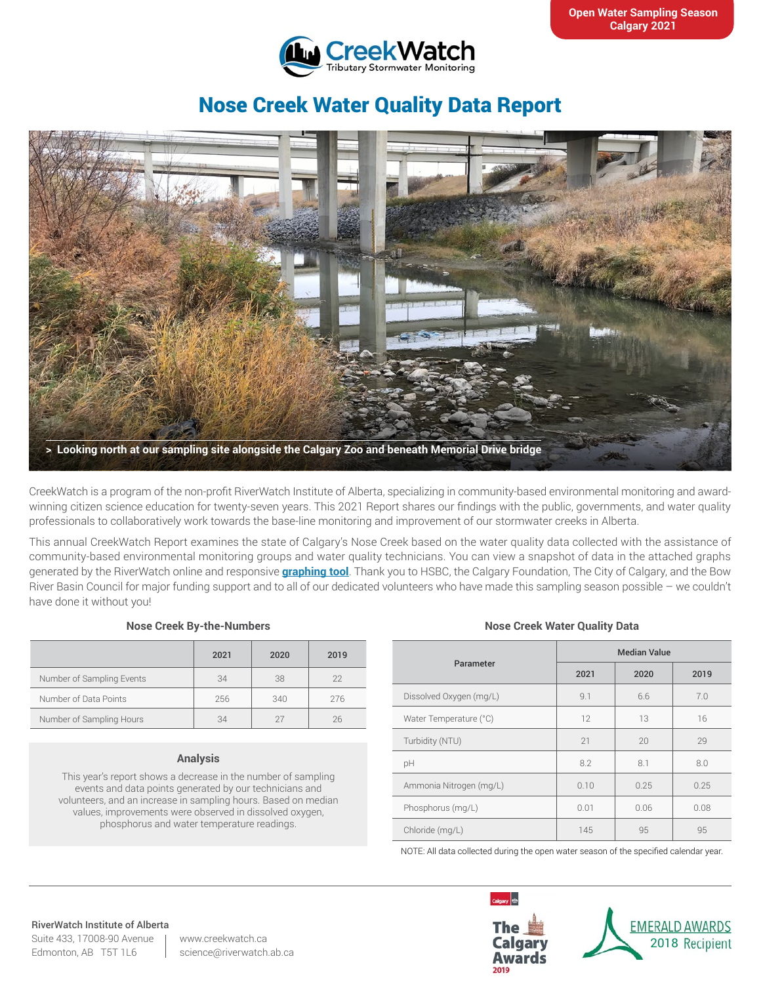

# Nose Creek Water Quality Data Report



CreekWatch is a program of the non-profit RiverWatch Institute of Alberta, specializing in community-based environmental monitoring and awardwinning citizen science education for twenty-seven years. This 2021 Report shares our findings with the public, governments, and water quality professionals to collaboratively work towards the base-line monitoring and improvement of our stormwater creeks in Alberta.

This annual CreekWatch Report examines the state of Calgary's Nose Creek based on the water quality data collected with the assistance of community-based environmental monitoring groups and water quality technicians. You can view a snapshot of data in the attached graphs generated by the RiverWatch online and responsive **[graphing tool](http://www.riverwatch.ab.ca/index.php/science/data)**. Thank you to HSBC, the Calgary Foundation, The City of Calgary, and the Bow River Basin Council for major funding support and to all of our dedicated volunteers who have made this sampling season possible – we couldn't have done it without you!

### **Nose Creek By-the-Numbers**

|                           | 2021 | 2020 | 2019 |
|---------------------------|------|------|------|
| Number of Sampling Events | 34   | 38   | 22   |
| Number of Data Points     | 256  | 340  | 276  |
| Number of Sampling Hours  | 34   |      | 26   |

# **Analysis**

This year's report shows a decrease in the number of sampling events and data points generated by our technicians and volunteers, and an increase in sampling hours. Based on median values, improvements were observed in dissolved oxygen, phosphorus and water temperature readings.

### **Nose Creek Water Quality Data**

| Parameter               | <b>Median Value</b> |      |      |
|-------------------------|---------------------|------|------|
|                         | 2021                | 2020 | 2019 |
| Dissolved Oxygen (mg/L) | 9.1                 | 6.6  | 7.0  |
| Water Temperature (°C)  | 12                  | 13   | 16   |
| Turbidity (NTU)         | 21                  | 20   | 29   |
| pH                      | 8.2                 | 8.1  | 8.0  |
| Ammonia Nitrogen (mg/L) | 0.10                | 0.25 | 0.25 |
| Phosphorus (mg/L)       | 0.01                | 0.06 | 0.08 |
| Chloride (mg/L)         | 145                 | 95   | 95   |

NOTE: All data collected during the open water season of the specified calendar year.

#### RiverWatch Institute of Alberta

Suite 433, 17008-90 Avenue Edmonton, AB T5T 1L6

www.creekwatch.ca science@riverwatch.ab.ca